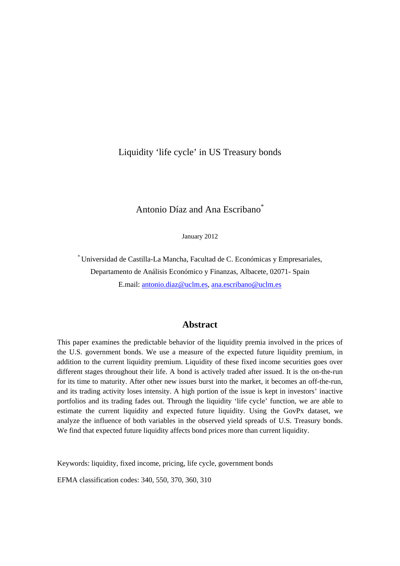## Liquidity 'life cycle' in US Treasury bonds

## Antonio Díaz and Ana Escribano\*

January 2012

\* Universidad de Castilla-La Mancha, Facultad de C. Económicas y Empresariales, Departamento de Análisis Económico y Finanzas, Albacete, 02071- Spain E.mail: antonio.diaz@uclm.es, ana.escribano@uclm.es

#### **Abstract**

This paper examines the predictable behavior of the liquidity premia involved in the prices of the U.S. government bonds. We use a measure of the expected future liquidity premium, in addition to the current liquidity premium. Liquidity of these fixed income securities goes over different stages throughout their life. A bond is actively traded after issued. It is the on-the-run for its time to maturity. After other new issues burst into the market, it becomes an off-the-run, and its trading activity loses intensity. A high portion of the issue is kept in investors' inactive portfolios and its trading fades out. Through the liquidity 'life cycle' function, we are able to estimate the current liquidity and expected future liquidity. Using the GovPx dataset, we analyze the influence of both variables in the observed yield spreads of U.S. Treasury bonds. We find that expected future liquidity affects bond prices more than current liquidity.

Keywords: liquidity, fixed income, pricing, life cycle, government bonds

EFMA classification codes: 340, 550, 370, 360, 310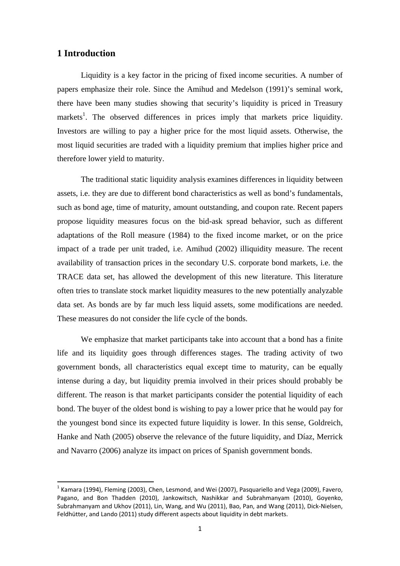### **1 Introduction**

Liquidity is a key factor in the pricing of fixed income securities. A number of papers emphasize their role. Since the Amihud and Medelson (1991)'s seminal work, there have been many studies showing that security's liquidity is priced in Treasury markets<sup>1</sup>. The observed differences in prices imply that markets price liquidity. Investors are willing to pay a higher price for the most liquid assets. Otherwise, the most liquid securities are traded with a liquidity premium that implies higher price and therefore lower yield to maturity.

The traditional static liquidity analysis examines differences in liquidity between assets, i.e. they are due to different bond characteristics as well as bond's fundamentals, such as bond age, time of maturity, amount outstanding, and coupon rate. Recent papers propose liquidity measures focus on the bid-ask spread behavior, such as different adaptations of the Roll measure (1984) to the fixed income market, or on the price impact of a trade per unit traded, i.e. Amihud (2002) illiquidity measure. The recent availability of transaction prices in the secondary U.S. corporate bond markets, i.e. the TRACE data set, has allowed the development of this new literature. This literature often tries to translate stock market liquidity measures to the new potentially analyzable data set. As bonds are by far much less liquid assets, some modifications are needed. These measures do not consider the life cycle of the bonds.

We emphasize that market participants take into account that a bond has a finite life and its liquidity goes through differences stages. The trading activity of two government bonds, all characteristics equal except time to maturity, can be equally intense during a day, but liquidity premia involved in their prices should probably be different. The reason is that market participants consider the potential liquidity of each bond. The buyer of the oldest bond is wishing to pay a lower price that he would pay for the youngest bond since its expected future liquidity is lower. In this sense, Goldreich, Hanke and Nath (2005) observe the relevance of the future liquidity, and Díaz, Merrick and Navarro (2006) analyze its impact on prices of Spanish government bonds.

 $<sup>1</sup>$  Kamara (1994), Fleming (2003), Chen, Lesmond, and Wei (2007), Pasquariello and Vega (2009), Favero,</sup> Pagano, and Bon Thadden (2010), Jankowitsch, Nashikkar and Subrahmanyam (2010), Goyenko, Subrahmanyam and Ukhov (2011), Lin, Wang, and Wu (2011), Bao, Pan, and Wang (2011), Dick‐Nielsen, Feldhütter, and Lando (2011) study different aspects about liquidity in debt markets.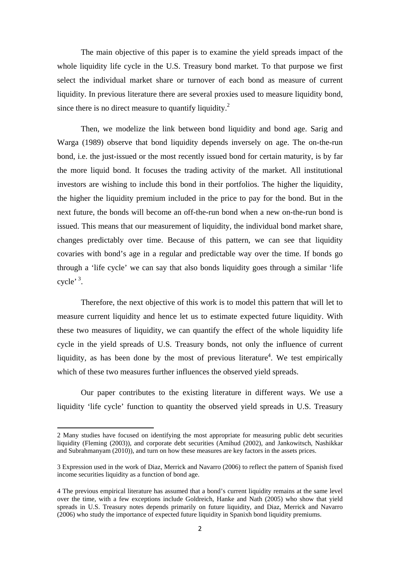The main objective of this paper is to examine the yield spreads impact of the whole liquidity life cycle in the U.S. Treasury bond market. To that purpose we first select the individual market share or turnover of each bond as measure of current liquidity. In previous literature there are several proxies used to measure liquidity bond, since there is no direct measure to quantify liquidity.<sup>2</sup>

Then, we modelize the link between bond liquidity and bond age. Sarig and Warga (1989) observe that bond liquidity depends inversely on age. The on-the-run bond, i.e. the just-issued or the most recently issued bond for certain maturity, is by far the more liquid bond. It focuses the trading activity of the market. All institutional investors are wishing to include this bond in their portfolios. The higher the liquidity, the higher the liquidity premium included in the price to pay for the bond. But in the next future, the bonds will become an off-the-run bond when a new on-the-run bond is issued. This means that our measurement of liquidity, the individual bond market share, changes predictably over time. Because of this pattern, we can see that liquidity covaries with bond's age in a regular and predictable way over the time. If bonds go through a 'life cycle' we can say that also bonds liquidity goes through a similar 'life cycle'  $3$ .

Therefore, the next objective of this work is to model this pattern that will let to measure current liquidity and hence let us to estimate expected future liquidity. With these two measures of liquidity, we can quantify the effect of the whole liquidity life cycle in the yield spreads of U.S. Treasury bonds, not only the influence of current liquidity, as has been done by the most of previous literature<sup>4</sup>. We test empirically which of these two measures further influences the observed yield spreads.

Our paper contributes to the existing literature in different ways. We use a liquidity 'life cycle' function to quantity the observed yield spreads in U.S. Treasury

<sup>2</sup> Many studies have focused on identifying the most appropriate for measuring public debt securities liquidity (Fleming (2003)), and corporate debt securities (Amihud (2002), and Jankowitsch, Nashikkar and Subrahmanyam (2010)), and turn on how these measures are key factors in the assets prices.

<sup>3</sup> Expression used in the work of Diaz, Merrick and Navarro (2006) to reflect the pattern of Spanish fixed income securities liquidity as a function of bond age.

<sup>4</sup> The previous empirical literature has assumed that a bond's current liquidity remains at the same level over the time, with a few exceptions include Goldreich, Hanke and Nath (2005) who show that yield spreads in U.S. Treasury notes depends primarily on future liquidity, and Diaz, Merrick and Navarro (2006) who study the importance of expected future liquidity in Spanixh bond liquidity premiums.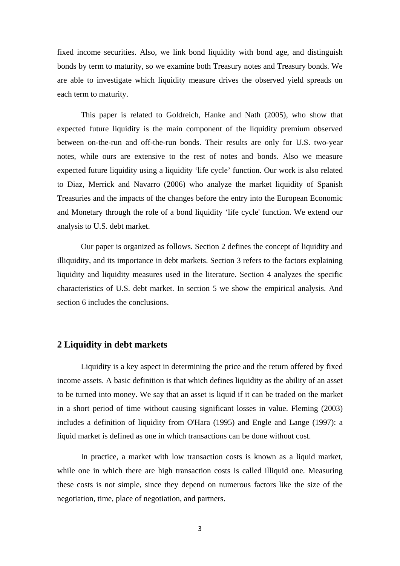fixed income securities. Also, we link bond liquidity with bond age, and distinguish bonds by term to maturity, so we examine both Treasury notes and Treasury bonds. We are able to investigate which liquidity measure drives the observed yield spreads on each term to maturity.

 This paper is related to Goldreich, Hanke and Nath (2005), who show that expected future liquidity is the main component of the liquidity premium observed between on-the-run and off-the-run bonds. Their results are only for U.S. two-year notes, while ours are extensive to the rest of notes and bonds. Also we measure expected future liquidity using a liquidity 'life cycle' function. Our work is also related to Diaz, Merrick and Navarro (2006) who analyze the market liquidity of Spanish Treasuries and the impacts of the changes before the entry into the European Economic and Monetary through the role of a bond liquidity 'life cycle' function. We extend our analysis to U.S. debt market.

Our paper is organized as follows. Section 2 defines the concept of liquidity and illiquidity, and its importance in debt markets. Section 3 refers to the factors explaining liquidity and liquidity measures used in the literature. Section 4 analyzes the specific characteristics of U.S. debt market. In section 5 we show the empirical analysis. And section 6 includes the conclusions.

#### **2 Liquidity in debt markets**

Liquidity is a key aspect in determining the price and the return offered by fixed income assets. A basic definition is that which defines liquidity as the ability of an asset to be turned into money. We say that an asset is liquid if it can be traded on the market in a short period of time without causing significant losses in value. Fleming (2003) includes a definition of liquidity from O'Hara (1995) and Engle and Lange (1997): a liquid market is defined as one in which transactions can be done without cost.

In practice, a market with low transaction costs is known as a liquid market, while one in which there are high transaction costs is called illiquid one. Measuring these costs is not simple, since they depend on numerous factors like the size of the negotiation, time, place of negotiation, and partners.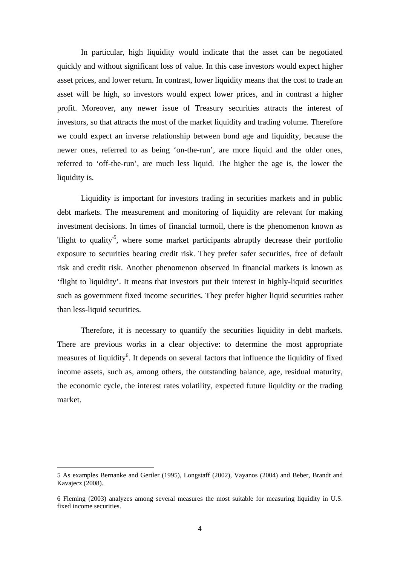In particular, high liquidity would indicate that the asset can be negotiated quickly and without significant loss of value. In this case investors would expect higher asset prices, and lower return. In contrast, lower liquidity means that the cost to trade an asset will be high, so investors would expect lower prices, and in contrast a higher profit. Moreover, any newer issue of Treasury securities attracts the interest of investors, so that attracts the most of the market liquidity and trading volume. Therefore we could expect an inverse relationship between bond age and liquidity, because the newer ones, referred to as being 'on-the-run', are more liquid and the older ones, referred to 'off-the-run', are much less liquid. The higher the age is, the lower the liquidity is.

Liquidity is important for investors trading in securities markets and in public debt markets. The measurement and monitoring of liquidity are relevant for making investment decisions. In times of financial turmoil, there is the phenomenon known as 'flight to quality<sup>'5</sup>, where some market participants abruptly decrease their portfolio exposure to securities bearing credit risk. They prefer safer securities, free of default risk and credit risk. Another phenomenon observed in financial markets is known as 'flight to liquidity'. It means that investors put their interest in highly-liquid securities such as government fixed income securities. They prefer higher liquid securities rather than less-liquid securities.

Therefore, it is necessary to quantify the securities liquidity in debt markets. There are previous works in a clear objective: to determine the most appropriate measures of liquidity<sup>6</sup>. It depends on several factors that influence the liquidity of fixed income assets, such as, among others, the outstanding balance, age, residual maturity, the economic cycle, the interest rates volatility, expected future liquidity or the trading market.

<sup>5</sup> As examples Bernanke and Gertler (1995), Longstaff (2002), Vayanos (2004) and Beber, Brandt and Kavajecz (2008).

<sup>6</sup> Fleming (2003) analyzes among several measures the most suitable for measuring liquidity in U.S. fixed income securities.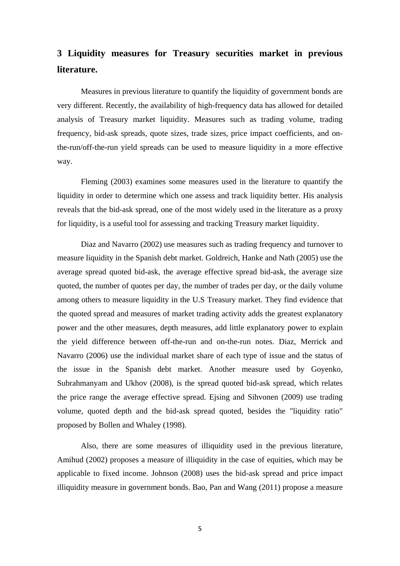# **3 Liquidity measures for Treasury securities market in previous literature.**

Measures in previous literature to quantify the liquidity of government bonds are very different. Recently, the availability of high-frequency data has allowed for detailed analysis of Treasury market liquidity. Measures such as trading volume, trading frequency, bid-ask spreads, quote sizes, trade sizes, price impact coefficients, and onthe-run/off-the-run yield spreads can be used to measure liquidity in a more effective way.

Fleming (2003) examines some measures used in the literature to quantify the liquidity in order to determine which one assess and track liquidity better. His analysis reveals that the bid-ask spread, one of the most widely used in the literature as a proxy for liquidity, is a useful tool for assessing and tracking Treasury market liquidity.

Diaz and Navarro (2002) use measures such as trading frequency and turnover to measure liquidity in the Spanish debt market. Goldreich, Hanke and Nath (2005) use the average spread quoted bid-ask, the average effective spread bid-ask, the average size quoted, the number of quotes per day, the number of trades per day, or the daily volume among others to measure liquidity in the U.S Treasury market. They find evidence that the quoted spread and measures of market trading activity adds the greatest explanatory power and the other measures, depth measures, add little explanatory power to explain the yield difference between off-the-run and on-the-run notes. Diaz, Merrick and Navarro (2006) use the individual market share of each type of issue and the status of the issue in the Spanish debt market. Another measure used by Goyenko, Subrahmanyam and Ukhov (2008), is the spread quoted bid-ask spread, which relates the price range the average effective spread. Ejsing and Sihvonen (2009) use trading volume, quoted depth and the bid-ask spread quoted, besides the "liquidity ratio" proposed by Bollen and Whaley (1998).

Also, there are some measures of illiquidity used in the previous literature, Amihud (2002) proposes a measure of illiquidity in the case of equities, which may be applicable to fixed income. Johnson (2008) uses the bid-ask spread and price impact illiquidity measure in government bonds. Bao, Pan and Wang (2011) propose a measure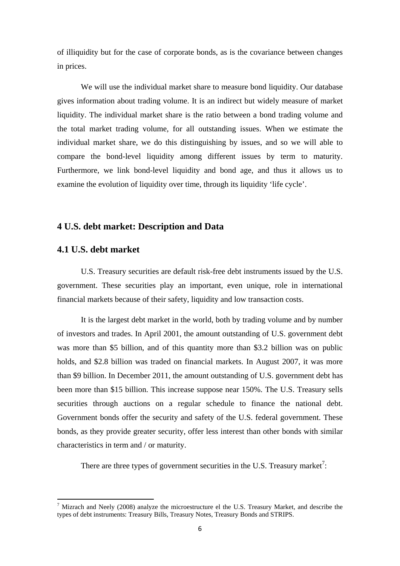of illiquidity but for the case of corporate bonds, as is the covariance between changes in prices.

 We will use the individual market share to measure bond liquidity. Our database gives information about trading volume. It is an indirect but widely measure of market liquidity. The individual market share is the ratio between a bond trading volume and the total market trading volume, for all outstanding issues. When we estimate the individual market share, we do this distinguishing by issues, and so we will able to compare the bond-level liquidity among different issues by term to maturity. Furthermore, we link bond-level liquidity and bond age, and thus it allows us to examine the evolution of liquidity over time, through its liquidity 'life cycle'.

## **4 U.S. debt market: Description and Data**

## **4.1 U.S. debt market**

U.S. Treasury securities are default risk-free debt instruments issued by the U.S. government. These securities play an important, even unique, role in international financial markets because of their safety, liquidity and low transaction costs.

It is the largest debt market in the world, both by trading volume and by number of investors and trades. In April 2001, the amount outstanding of U.S. government debt was more than \$5 billion, and of this quantity more than \$3.2 billion was on public holds, and \$2.8 billion was traded on financial markets. In August 2007, it was more than \$9 billion. In December 2011, the amount outstanding of U.S. government debt has been more than \$15 billion. This increase suppose near 150%. The U.S. Treasury sells securities through auctions on a regular schedule to finance the national debt. Government bonds offer the security and safety of the U.S. federal government. These bonds, as they provide greater security, offer less interest than other bonds with similar characteristics in term and / or maturity.

There are three types of government securities in the U.S. Treasury market<sup>7</sup>:

 $<sup>7</sup>$  Mizrach and Neely (2008) analyze the microestructure el the U.S. Treasury Market, and describe the</sup> types of debt instruments: Treasury Bills, Treasury Notes, Treasury Bonds and STRIPS.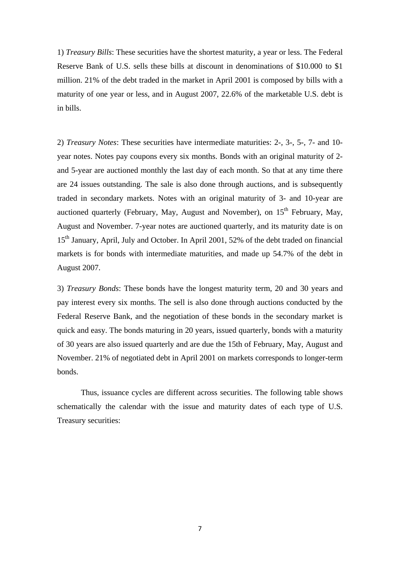1) *Treasury Bills*: These securities have the shortest maturity, a year or less. The Federal Reserve Bank of U.S. sells these bills at discount in denominations of \$10.000 to \$1 million. 21% of the debt traded in the market in April 2001 is composed by bills with a maturity of one year or less, and in August 2007, 22.6% of the marketable U.S. debt is in bills.

2) *Treasury Notes*: These securities have intermediate maturities: 2-, 3-, 5-, 7- and 10 year notes. Notes pay coupons every six months. Bonds with an original maturity of 2 and 5-year are auctioned monthly the last day of each month. So that at any time there are 24 issues outstanding. The sale is also done through auctions, and is subsequently traded in secondary markets. Notes with an original maturity of 3- and 10-year are auctioned quarterly (February, May, August and November), on  $15<sup>th</sup>$  February, May, August and November. 7-year notes are auctioned quarterly, and its maturity date is on 15<sup>th</sup> January, April, July and October. In April 2001, 52% of the debt traded on financial markets is for bonds with intermediate maturities, and made up 54.7% of the debt in August 2007.

3) *Treasury Bonds*: These bonds have the longest maturity term, 20 and 30 years and pay interest every six months. The sell is also done through auctions conducted by the Federal Reserve Bank, and the negotiation of these bonds in the secondary market is quick and easy. The bonds maturing in 20 years, issued quarterly, bonds with a maturity of 30 years are also issued quarterly and are due the 15th of February, May, August and November. 21% of negotiated debt in April 2001 on markets corresponds to longer-term bonds.

Thus, issuance cycles are different across securities. The following table shows schematically the calendar with the issue and maturity dates of each type of U.S. Treasury securities: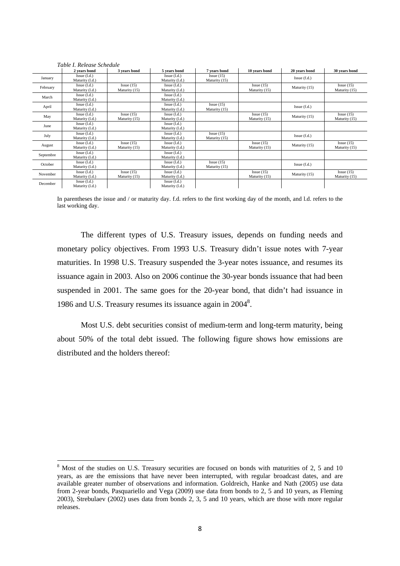|           | 2 years bond                        | 3 years bond               | 5 years bond                    | 7 years bond               | 10 years bond              | 20 years bond | 30 years bond              |
|-----------|-------------------------------------|----------------------------|---------------------------------|----------------------------|----------------------------|---------------|----------------------------|
| January   | $Issue$ $(l.d.)$<br>Maturity (l.d.) |                            | Issue (l.d.)<br>Maturity (l.d.) | Issue(15)<br>Maturity (15) |                            | Issue(f.d.)   |                            |
| February  | Issue (l.d.)<br>Maturity (l.d.)     | Issue(15)<br>Maturity (15) | Issue (l.d.)<br>Maturity (l.d.) |                            | Issue(15)<br>Maturity (15) | Maturity (15) | Issue(15)<br>Maturity (15) |
| March     | Issue (l.d.)<br>Maturity (l.d.)     |                            | Issue (l.d.)<br>Maturity (l.d.) |                            |                            |               |                            |
| April     | Issue (l.d.)<br>Maturity (l.d.)     |                            | Issue (l.d.)<br>Maturity (l.d.) | Issue(15)<br>Maturity (15) |                            | Issue(f.d.)   |                            |
| May       | Issue (l.d.)<br>Maturity (l.d.)     | Issue(15)<br>Maturity (15) | Issue (l.d.)<br>Maturity (l.d.) |                            | Issue(15)<br>Maturity (15) | Maturity (15) | Issue(15)<br>Maturity (15) |
| June      | Issue (l.d.)<br>Maturity (l.d.)     |                            | Issue (l.d.)<br>Maturity (l.d.) |                            |                            |               |                            |
| July      | Issue (l.d.)<br>Maturity (l.d.)     |                            | Issue (l.d.)<br>Maturity (l.d.) | Issue(15)<br>Maturity (15) |                            | Issue(f.d.)   |                            |
| August    | Issue (l.d.)<br>Maturity (l.d.)     | Issue(15)<br>Maturity (15) | Issue (l.d.)<br>Maturity (l.d.) |                            | Issue(15)<br>Maturity (15) | Maturity (15) | Issue(15)<br>Maturity (15) |
| Septembre | $Issue$ $(l.d.)$<br>Maturity (l.d.) |                            | Issue (l.d.)<br>Maturity (l.d.) |                            |                            |               |                            |
| October   | Issue (l.d.)<br>Maturity (l.d.)     |                            | Issue (l.d.)<br>Maturity (l.d.) | Issue(15)<br>Maturity (15) |                            | Issue(f.d.)   |                            |
| November  | Issue (l.d.)<br>Maturity (l.d.)     | Issue(15)<br>Maturity (15) | Issue (l.d.)<br>Maturity (l.d.) |                            | Issue(15)<br>Maturity (15) | Maturity (15) | Issue(15)<br>Maturity (15) |
| December  | $Issue$ $(l.d.)$<br>Maturity (l.d.) |                            | Issue (l.d.)<br>Maturity (l.d.) |                            |                            |               |                            |

*Table I. Release Schedule* 

In parentheses the issue and / or maturity day. f.d. refers to the first working day of the month, and l.d. refers to the last working day.

The different types of U.S. Treasury issues, depends on funding needs and monetary policy objectives. From 1993 U.S. Treasury didn't issue notes with 7-year maturities. In 1998 U.S. Treasury suspended the 3-year notes issuance, and resumes its issuance again in 2003. Also on 2006 continue the 30-year bonds issuance that had been suspended in 2001. The same goes for the 20-year bond, that didn't had issuance in 1986 and U.S. Treasury resumes its issuance again in 2004<sup>8</sup>.

Most U.S. debt securities consist of medium-term and long-term maturity, being about 50% of the total debt issued. The following figure shows how emissions are distributed and the holders thereof:

<sup>&</sup>lt;sup>8</sup> Most of the studies on U.S. Treasury securities are focused on bonds with maturities of 2, 5 and 10 years, as are the emissions that have never been interrupted, with regular broadcast dates, and are available greater number of observations and information. Goldreich, Hanke and Nath (2005) use data from 2-year bonds, Pasquariello and Vega (2009) use data from bonds to 2, 5 and 10 years, as Fleming 2003), Strebulaev (2002) uses data from bonds 2, 3, 5 and 10 years, which are those with more regular releases.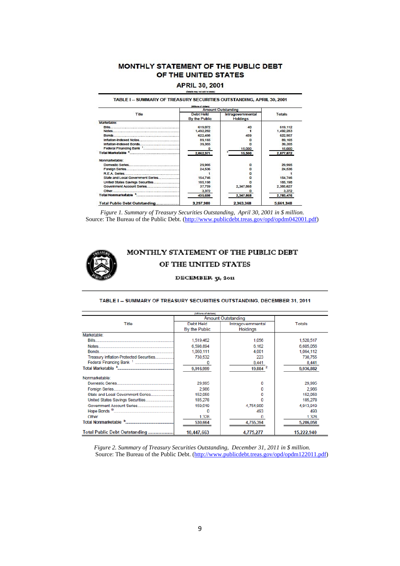#### MONTHLY STATEMENT OF THE PUBLIC DEBT OF THE UNITED STATES

#### **APRIL 30, 2001**

TABLE I -- SUMMARY OF TREASURY SECURITIES OUTSTANDING, APRIL 30, 2001

|                                   | <b>SABlorse of dollars!</b>       |                                      |               |
|-----------------------------------|-----------------------------------|--------------------------------------|---------------|
|                                   |                                   | <b>Amount Outstanding</b>            |               |
| Title                             | <b>Debt Held</b><br>By the Public | Intragovernmental<br><b>Holdings</b> | <b>Totals</b> |
| Marketable:                       |                                   |                                      |               |
|                                   | 619.072                           | 40                                   | 619,112       |
|                                   | 1,492,282                         |                                      | 1,492,283     |
|                                   | 622.498                           | 459                                  | 622.957       |
|                                   | 89.165                            |                                      | 89, 165       |
|                                   | 39,355                            |                                      | 39,355        |
|                                   | a                                 | 15,000                               | 15,000        |
|                                   | 2,862,371                         | 15,500                               | 2,877,872     |
| Nonmarketable:                    |                                   |                                      |               |
|                                   | 29,995                            | o                                    | 29,995        |
|                                   | 24,536                            | o                                    | 24,536        |
|                                   |                                   |                                      |               |
| State and Local Government Series | 154,746                           |                                      | 154,746       |
| United States Savings Securities  | 185, 198                          |                                      | 185, 198      |
|                                   | 37,759                            | 2,347,868                            | 2,385,627     |
|                                   | 3,372                             |                                      | 3,372         |
| Total Nonmarketable               | 435,608                           | 2,347,868                            | 2,783,476     |
| Total Dublin Debt Outstanding     | 3.397.998                         | 3.303.309                            | 5 004 940     |

*Figure 1. Summary of Treasury Securities Outstanding, April 30, 2001 in \$ million*. Source: The Bureau of the Public Debt. (http://www.publicdebt.treas.gov/opd/opdm042001.pdf)



## MONTHLY STATEMENT OF THE PUBLIC DEBT OF THE UNITED STATES

#### DECEMBER 31, 2011

| (Millions of dollars)                   |               |                           |               |  |  |  |  |  |
|-----------------------------------------|---------------|---------------------------|---------------|--|--|--|--|--|
|                                         |               | <b>Amount Outstanding</b> |               |  |  |  |  |  |
| Title                                   | Debt Held     | Intragovernmental         | <b>Totals</b> |  |  |  |  |  |
|                                         | By the Public | <b>Holdings</b>           |               |  |  |  |  |  |
| Marketable:                             |               |                           |               |  |  |  |  |  |
|                                         | 1,519,462     | 1.056                     | 1,520,517     |  |  |  |  |  |
|                                         | 6,598,894     | 6.162                     | 6,605,056     |  |  |  |  |  |
|                                         | 1,060,111     | 4,001                     | 1,064,112     |  |  |  |  |  |
| Treasury Inflation-Protected Securities | 738,532       | 223                       | 738,755       |  |  |  |  |  |
|                                         |               | 8,441                     | 8,441         |  |  |  |  |  |
|                                         | 9,916,999     | 19,884                    | 9,936,882     |  |  |  |  |  |
| Nonmarketable:                          |               |                           |               |  |  |  |  |  |
|                                         | 29,995        | n                         | 29,995        |  |  |  |  |  |
|                                         | 2,986         |                           | 2.986         |  |  |  |  |  |
| State and Local Government Series       | 152,058       |                           | 152,058       |  |  |  |  |  |
|                                         | 185,278       |                           | 185,278       |  |  |  |  |  |
|                                         | 159,019       | 4,754,900                 | 4,913,919     |  |  |  |  |  |
|                                         |               | 493                       | 493           |  |  |  |  |  |
|                                         | 1,328         |                           | 1.328         |  |  |  |  |  |
|                                         | 530,664       | 4,755,394                 | 5,286,058     |  |  |  |  |  |
| Total Public Debt Outstanding           | 10,447,663    | 4,775,277                 | 15,222,940    |  |  |  |  |  |

*Figure 2. Summary of Treasury Securities Outstanding, December 31, 2011 in \$ million*. Source: The Bureau of the Public Debt. (http://www.publicdebt.treas.gov/opd/opdm122011.pdf)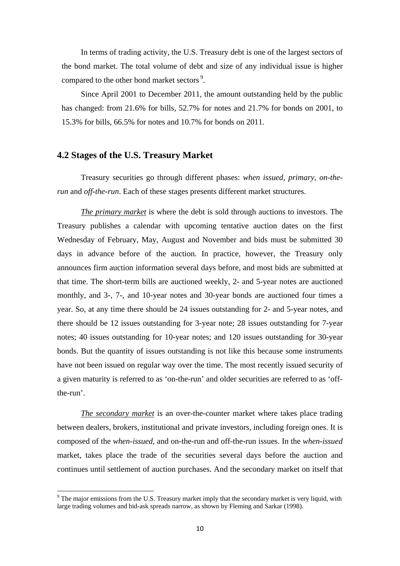In terms of trading activity, the U.S. Treasury debt is one of the largest sectors of the bond market. The total volume of debt and size of any individual issue is higher compared to the other bond market sectors<sup>9</sup>.

Since April 2001 to December 2011, the amount outstanding held by the public has changed: from 21.6% for bills, 52.7% for notes and 21.7% for bonds on 2001, to 15.3% for bills, 66.5% for notes and 10.7% for bonds on 2011.

#### **4.2 Stages of the U.S. Treasury Market**

Treasury securities go through different phases: *when issued, primary, on-therun* and *off-the-run*. Each of these stages presents different market structures.

*The primary market* is where the debt is sold through auctions to investors. The Treasury publishes a calendar with upcoming tentative auction dates on the first Wednesday of February, May, August and November and bids must be submitted 30 days in advance before of the auction. In practice, however, the Treasury only announces firm auction information several days before, and most bids are submitted at that time. The short-term bills are auctioned weekly, 2- and 5-year notes are auctioned monthly, and 3-, 7-, and 10-year notes and 30-year bonds are auctioned four times a year. So, at any time there should be 24 issues outstanding for 2- and 5-year notes, and there should be 12 issues outstanding for 3-year note; 28 issues outstanding for 7-year notes; 40 issues outstanding for 10-year notes; and 120 issues outstanding for 30-year bonds. But the quantity of issues outstanding is not like this because some instruments have not been issued on regular way over the time. The most recently issued security of a given maturity is referred to as 'on-the-run' and older securities are referred to as 'offthe-run'.

*The secondary market* is an over-the-counter market where takes place trading between dealers, brokers, institutional and private investors, including foreign ones. It is composed of the *when-issued*, and on-the-run and off-the-run issues. In the *when-issued* market, takes place the trade of the securities several days before the auction and continues until settlement of auction purchases. And the secondary market on itself that

 $9$  The major emissions from the U.S. Treasury market imply that the secondary market is very liquid, with large trading volumes and bid-ask spreads narrow, as shown by Fleming and Sarkar (1998).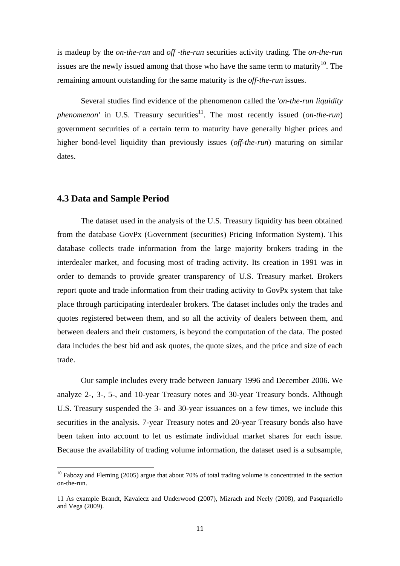is madeup by the *on-the-run* and *off -the-run* securities activity trading. The *on-the-run* issues are the newly issued among that those who have the same term to maturity<sup>10</sup>. The remaining amount outstanding for the same maturity is the *off-the-run* issues.

Several studies find evidence of the phenomenon called the '*on-the-run liquidity phenomenon'* in U.S. Treasury securities<sup>11</sup>. The most recently issued (*on-the-run*) government securities of a certain term to maturity have generally higher prices and higher bond-level liquidity than previously issues (*off-the-run*) maturing on similar dates.

#### **4.3 Data and Sample Period**

The dataset used in the analysis of the U.S. Treasury liquidity has been obtained from the database GovPx (Government (securities) Pricing Information System). This database collects trade information from the large majority brokers trading in the interdealer market, and focusing most of trading activity. Its creation in 1991 was in order to demands to provide greater transparency of U.S. Treasury market. Brokers report quote and trade information from their trading activity to GovPx system that take place through participating interdealer brokers. The dataset includes only the trades and quotes registered between them, and so all the activity of dealers between them, and between dealers and their customers, is beyond the computation of the data. The posted data includes the best bid and ask quotes, the quote sizes, and the price and size of each trade.

Our sample includes every trade between January 1996 and December 2006. We analyze 2-, 3-, 5-, and 10-year Treasury notes and 30-year Treasury bonds. Although U.S. Treasury suspended the 3- and 30-year issuances on a few times, we include this securities in the analysis. 7-year Treasury notes and 20-year Treasury bonds also have been taken into account to let us estimate individual market shares for each issue. Because the availability of trading volume information, the dataset used is a subsample,

 $10$  Fabozy and Fleming (2005) argue that about 70% of total trading volume is concentrated in the section on-the-run.

<sup>11</sup> As example Brandt, Kavaiecz and Underwood (2007), Mizrach and Neely (2008), and Pasquariello and Vega (2009).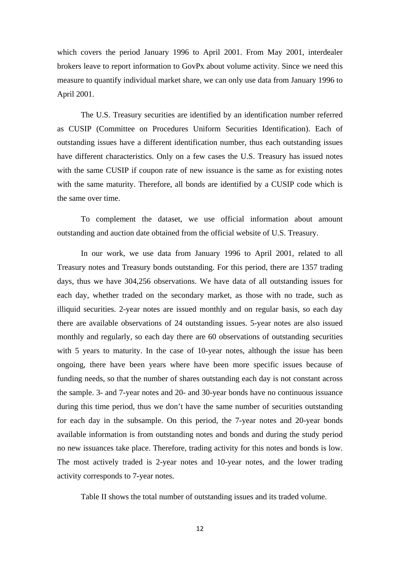which covers the period January 1996 to April 2001. From May 2001, interdealer brokers leave to report information to GovPx about volume activity. Since we need this measure to quantify individual market share, we can only use data from January 1996 to April 2001.

The U.S. Treasury securities are identified by an identification number referred as CUSIP (Committee on Procedures Uniform Securities Identification). Each of outstanding issues have a different identification number, thus each outstanding issues have different characteristics. Only on a few cases the U.S. Treasury has issued notes with the same CUSIP if coupon rate of new issuance is the same as for existing notes with the same maturity. Therefore, all bonds are identified by a CUSIP code which is the same over time.

To complement the dataset, we use official information about amount outstanding and auction date obtained from the official website of U.S. Treasury.

In our work, we use data from January 1996 to April 2001, related to all Treasury notes and Treasury bonds outstanding. For this period, there are 1357 trading days, thus we have 304,256 observations. We have data of all outstanding issues for each day, whether traded on the secondary market, as those with no trade, such as illiquid securities. 2-year notes are issued monthly and on regular basis, so each day there are available observations of 24 outstanding issues. 5-year notes are also issued monthly and regularly, so each day there are 60 observations of outstanding securities with 5 years to maturity. In the case of 10-year notes, although the issue has been ongoing, there have been years where have been more specific issues because of funding needs, so that the number of shares outstanding each day is not constant across the sample. 3- and 7-year notes and 20- and 30-year bonds have no continuous issuance during this time period, thus we don't have the same number of securities outstanding for each day in the subsample. On this period, the 7-year notes and 20-year bonds available information is from outstanding notes and bonds and during the study period no new issuances take place. Therefore, trading activity for this notes and bonds is low. The most actively traded is 2-year notes and 10-year notes, and the lower trading activity corresponds to 7-year notes.

Table II shows the total number of outstanding issues and its traded volume.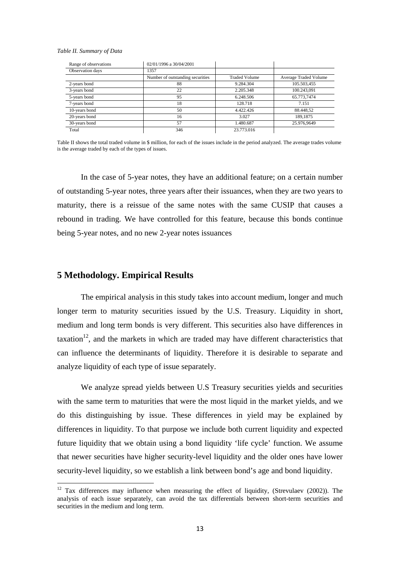#### *Table II. Summary of Data*

| Range of observations | 02/01/1996 a 30/04/2001          |                      |                       |
|-----------------------|----------------------------------|----------------------|-----------------------|
| Observation days      | 1357                             |                      |                       |
|                       | Number of outstanding securities | <b>Traded Volume</b> | Average Traded Volume |
| 2-years bond          | 88                               | 9.284.304            | 105.503,455           |
| 3-years bond          | 22                               | 2.205.348            | 100.243,091           |
| 5-years bond          | 95                               | 6.248.506            | 65.773,7474           |
| 7-years bond          | 18                               | 128.718              | 7.151                 |
| 10-years bond         | 50                               | 4.422.426            | 88.448,52             |
| 20-years bond         | 16                               | 3.027                | 189,1875              |
| 30-years bond         | 57                               | 1.480.687            | 25.976,9649           |
| Total                 | 346                              | 23.773.016           |                       |

Table II shows the total traded volume in \$ million, for each of the issues include in the period analyzed. The average trades volume is the average traded by each of the types of issues.

In the case of 5-year notes, they have an additional feature; on a certain number of outstanding 5-year notes, three years after their issuances, when they are two years to maturity, there is a reissue of the same notes with the same CUSIP that causes a rebound in trading. We have controlled for this feature, because this bonds continue being 5-year notes, and no new 2-year notes issuances

#### **5 Methodology. Empirical Results**

The empirical analysis in this study takes into account medium, longer and much longer term to maturity securities issued by the U.S. Treasury. Liquidity in short, medium and long term bonds is very different. This securities also have differences in taxation<sup>12</sup>, and the markets in which are traded may have different characteristics that can influence the determinants of liquidity. Therefore it is desirable to separate and analyze liquidity of each type of issue separately.

We analyze spread yields between U.S Treasury securities yields and securities with the same term to maturities that were the most liquid in the market yields, and we do this distinguishing by issue. These differences in yield may be explained by differences in liquidity. To that purpose we include both current liquidity and expected future liquidity that we obtain using a bond liquidity 'life cycle' function. We assume that newer securities have higher security-level liquidity and the older ones have lower security-level liquidity, so we establish a link between bond's age and bond liquidity.

 $12$  Tax differences may influence when measuring the effect of liquidity, (Strevulaev (2002)). The analysis of each issue separately, can avoid the tax differentials between short-term securities and securities in the medium and long term.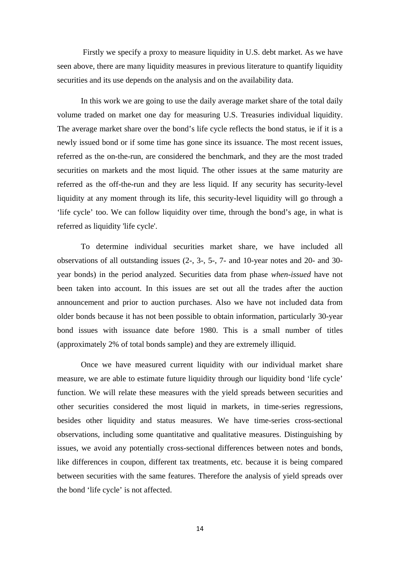Firstly we specify a proxy to measure liquidity in U.S. debt market. As we have seen above, there are many liquidity measures in previous literature to quantify liquidity securities and its use depends on the analysis and on the availability data.

In this work we are going to use the daily average market share of the total daily volume traded on market one day for measuring U.S. Treasuries individual liquidity. The average market share over the bond's life cycle reflects the bond status, ie if it is a newly issued bond or if some time has gone since its issuance. The most recent issues, referred as the on-the-run, are considered the benchmark, and they are the most traded securities on markets and the most liquid. The other issues at the same maturity are referred as the off-the-run and they are less liquid. If any security has security-level liquidity at any moment through its life, this security-level liquidity will go through a 'life cycle' too. We can follow liquidity over time, through the bond's age, in what is referred as liquidity 'life cycle'.

To determine individual securities market share, we have included all observations of all outstanding issues (2-, 3-, 5-, 7- and 10-year notes and 20- and 30 year bonds) in the period analyzed. Securities data from phase *when-issued* have not been taken into account. In this issues are set out all the trades after the auction announcement and prior to auction purchases. Also we have not included data from older bonds because it has not been possible to obtain information, particularly 30-year bond issues with issuance date before 1980. This is a small number of titles (approximately 2% of total bonds sample) and they are extremely illiquid.

Once we have measured current liquidity with our individual market share measure, we are able to estimate future liquidity through our liquidity bond 'life cycle' function. We will relate these measures with the yield spreads between securities and other securities considered the most liquid in markets, in time-series regressions, besides other liquidity and status measures. We have time-series cross-sectional observations, including some quantitative and qualitative measures. Distinguishing by issues, we avoid any potentially cross-sectional differences between notes and bonds, like differences in coupon, different tax treatments, etc. because it is being compared between securities with the same features. Therefore the analysis of yield spreads over the bond 'life cycle' is not affected.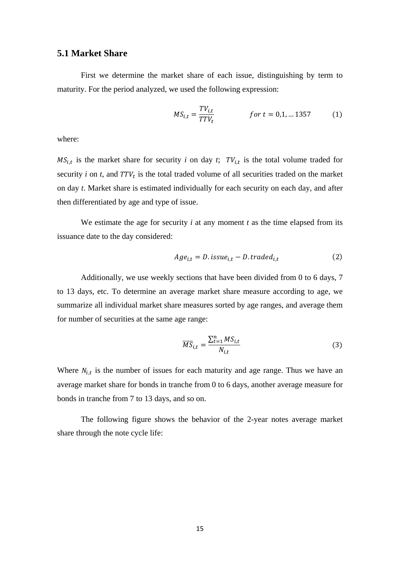## **5.1 Market Share**

First we determine the market share of each issue, distinguishing by term to maturity. For the period analyzed, we used the following expression:

$$
MS_{i,t} = \frac{TV_{i,t}}{TTV_t} \qquad \qquad \text{for } t = 0, 1, \dots 1357 \tag{1}
$$

where:

 $MS_{i,t}$  is the market share for security *i* on day *t*;  $TV_{i,t}$  is the total volume traded for security  $i$  on  $t$ , and  $TTV_t$  is the total traded volume of all securities traded on the market on day *t*. Market share is estimated individually for each security on each day, and after then differentiated by age and type of issue.

We estimate the age for security  $i$  at any moment  $t$  as the time elapsed from its issuance date to the day considered:

$$
Age_{i,t} = D.issue_{i,t} - D.trained_{i,t}
$$
 (2)

Additionally, we use weekly sections that have been divided from 0 to 6 days, 7 to 13 days, etc. To determine an average market share measure according to age, we summarize all individual market share measures sorted by age ranges, and average them for number of securities at the same age range:

$$
\overline{MS}_{i,t} = \frac{\sum_{t=1}^{n} MS_{i,t}}{N_{i,t}}
$$
(3)

Where  $N_{i,t}$  is the number of issues for each maturity and age range. Thus we have an average market share for bonds in tranche from 0 to 6 days, another average measure for bonds in tranche from 7 to 13 days, and so on.

The following figure shows the behavior of the 2-year notes average market share through the note cycle life: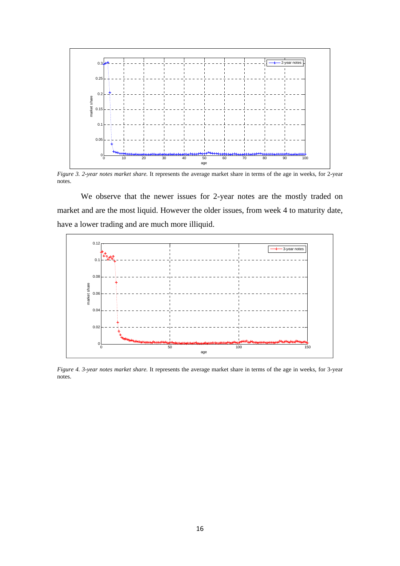

*Figure 3. 2-year notes market share.* It represents the average market share in terms of the age in weeks, for 2-year notes.

 We observe that the newer issues for 2-year notes are the mostly traded on market and are the most liquid. However the older issues, from week 4 to maturity date, have a lower trading and are much more illiquid.



*Figure 4. 3-year notes market share.* It represents the average market share in terms of the age in weeks, for 3-year notes.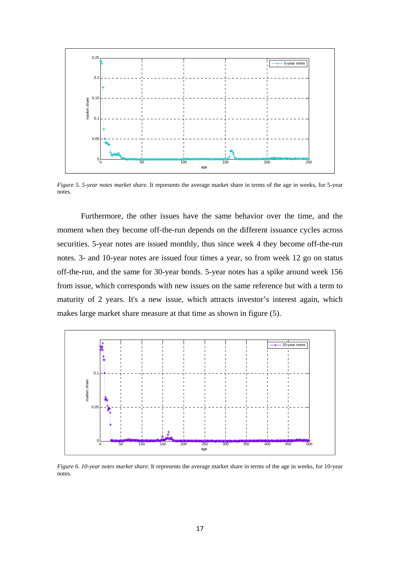

*Figure 5. 5-year notes market share.* It represents the average market share in terms of the age in weeks, for 5-year notes.

 Furthermore, the other issues have the same behavior over the time, and the moment when they become off-the-run depends on the different issuance cycles across securities. 5-year notes are issued monthly, thus since week 4 they become off-the-run notes. 3- and 10-year notes are issued four times a year, so from week 12 go on status off-the-run, and the same for 30-year bonds. 5-year notes has a spike around week 156 from issue, which corresponds with new issues on the same reference but with a term to maturity of 2 years. It's a new issue, which attracts investor's interest again, which makes large market share measure at that time as shown in figure (5).



*Figure 6. 10-year notes market share.* It represents the average market share in terms of the age in weeks, for 10-year notes.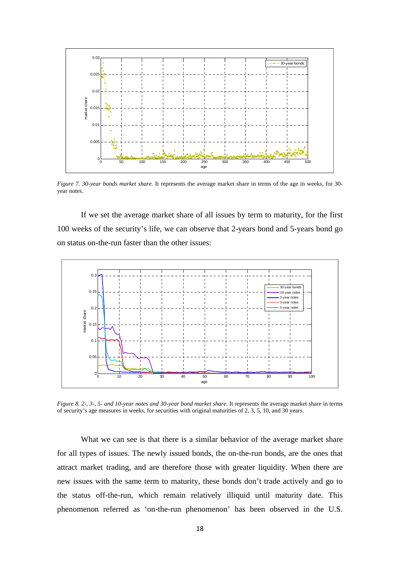

*Figure 7. 30-year bonds market share.* It represents the average market share in terms of the age in weeks, for 30 year notes.

If we set the average market share of all issues by term to maturity, for the first 100 weeks of the security's life, we can observe that 2-years bond and 5-years bond go on status on-the-run faster than the other issues:



*Figure 8. 2-, 3-, 5- and 10-year notes and 30-year bond market share.* It represents the average market share in terms of security's age measures in weeks, for securities with original maturities of 2, 3, 5, 10, and 30 years.

What we can see is that there is a similar behavior of the average market share for all types of issues. The newly issued bonds, the on-the-run bonds, are the ones that attract market trading, and are therefore those with greater liquidity. When there are new issues with the same term to maturity, these bonds don't trade actively and go to the status off-the-run, which remain relatively illiquid until maturity date. This phenomenon referred as 'on-the-run phenomenon' has been observed in the U.S.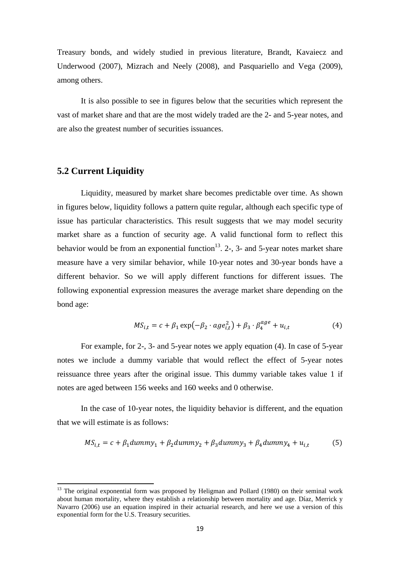Treasury bonds, and widely studied in previous literature, Brandt, Kavaiecz and Underwood (2007), Mizrach and Neely (2008), and Pasquariello and Vega (2009), among others.

It is also possible to see in figures below that the securities which represent the vast of market share and that are the most widely traded are the 2- and 5-year notes, and are also the greatest number of securities issuances.

## **5.2 Current Liquidity**

Liquidity, measured by market share becomes predictable over time. As shown in figures below, liquidity follows a pattern quite regular, although each specific type of issue has particular characteristics. This result suggests that we may model security market share as a function of security age. A valid functional form to reflect this behavior would be from an exponential function<sup>13</sup>. 2-, 3- and 5-year notes market share measure have a very similar behavior, while 10-year notes and 30-year bonds have a different behavior. So we will apply different functions for different issues. The following exponential expression measures the average market share depending on the bond age:

$$
MS_{i,t} = c + \beta_1 \exp(-\beta_2 \cdot age_{i,t}^2) + \beta_3 \cdot \beta_4^{age} + u_{i,t}
$$
 (4)

For example, for 2-, 3- and 5-year notes we apply equation (4). In case of 5-year notes we include a dummy variable that would reflect the effect of 5-year notes reissuance three years after the original issue. This dummy variable takes value 1 if notes are aged between 156 weeks and 160 weeks and 0 otherwise.

In the case of 10-year notes, the liquidity behavior is different, and the equation that we will estimate is as follows:

$$
MS_{i,t} = c + \beta_1 dummy_1 + \beta_2 dummy_2 + \beta_3 dummy_3 + \beta_4 dummy_4 + u_{i,t}
$$
 (5)

 $13$  The original exponential form was proposed by Heligman and Pollard (1980) on their seminal work about human mortality, where they establish a relationship between mortality and age. Díaz, Merrick y Navarro (2006) use an equation inspired in their actuarial research, and here we use a version of this exponential form for the U.S. Treasury securities.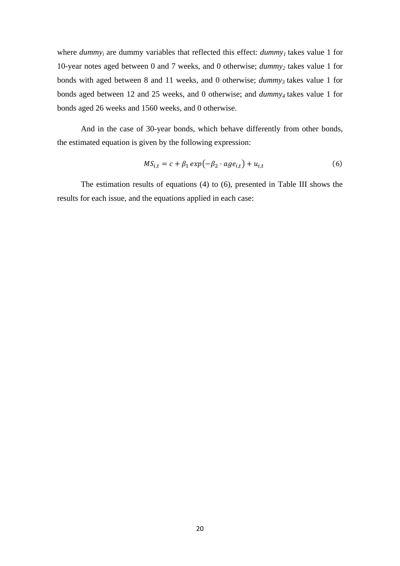where  $dummy_i$  are dummy variables that reflected this effect:  $dummy_i$  takes value 1 for 10-year notes aged between 0 and 7 weeks, and 0 otherwise; *dummy2* takes value 1 for bonds with aged between 8 and 11 weeks, and 0 otherwise; *dummy<sub>3</sub>* takes value 1 for bonds aged between 12 and 25 weeks, and 0 otherwise; and *dummy4* takes value 1 for bonds aged 26 weeks and 1560 weeks, and 0 otherwise.

And in the case of 30-year bonds, which behave differently from other bonds, the estimated equation is given by the following expression:

$$
MS_{i,t} = c + \beta_1 \exp(-\beta_2 \cdot age_{i,t}) + u_{i,t}
$$
 (6)

The estimation results of equations (4) to (6), presented in Table III shows the results for each issue, and the equations applied in each case: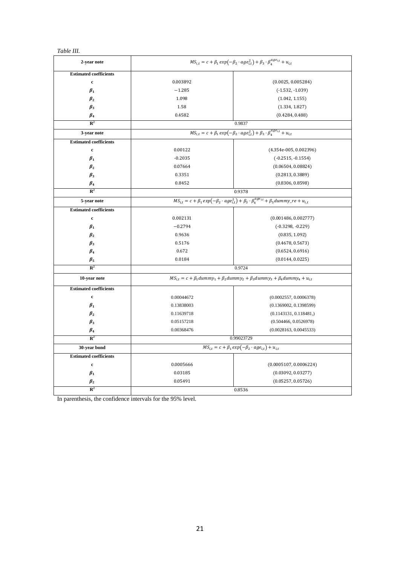#### *Table III.*

| 2-year note                   | $MS_{i,t} = c + \beta_1 exp(-\beta_2 \cdot age_{i,t}^2) + \beta_3 \cdot \beta_4^{age_{i,t}} + u_{i,t}$ |                                                                                                                           |  |  |  |
|-------------------------------|--------------------------------------------------------------------------------------------------------|---------------------------------------------------------------------------------------------------------------------------|--|--|--|
| <b>Estimated coefficients</b> |                                                                                                        |                                                                                                                           |  |  |  |
| $\mathbf c$                   | 0.003892                                                                                               | (0.0025, 0.005284)                                                                                                        |  |  |  |
| $\beta_1$                     | $-1.285$                                                                                               | $(-1.532, -1.039)$                                                                                                        |  |  |  |
| $\beta_2$                     | 1.098                                                                                                  | (1.042, 1.155)                                                                                                            |  |  |  |
| $\beta_3$                     | 1.58                                                                                                   | (1.334, 1.827)                                                                                                            |  |  |  |
| $\beta_4$                     | 0.4582                                                                                                 | (0.4284, 0.488)                                                                                                           |  |  |  |
| $\mathbb{R}^2$                |                                                                                                        | 0.9837                                                                                                                    |  |  |  |
| 3-year note                   |                                                                                                        | $MS_{i,t} = c + \beta_1 exp(-\beta_2 \cdot age_{i,t}^2) + \beta_3 \cdot \beta_4^{age_{i,t}} + u_{i,t}$                    |  |  |  |
| <b>Estimated coefficients</b> |                                                                                                        |                                                                                                                           |  |  |  |
| $\mathbf c$                   | 0.00122                                                                                                | $(4.354e-005, 0.002396)$                                                                                                  |  |  |  |
| $\beta_1$                     | $-0.2035$                                                                                              | $(-0.2515, -0.1554)$                                                                                                      |  |  |  |
| $\beta_2$                     | 0.07664                                                                                                | (0.06504, 0.08824)                                                                                                        |  |  |  |
| $\beta_3$                     | 0.3351                                                                                                 | (0.2813, 0.3889)                                                                                                          |  |  |  |
| $\beta_4$                     | 0.8452                                                                                                 | (0.8306, 0.8598)                                                                                                          |  |  |  |
| $\mathbb{R}^2$                |                                                                                                        | 0.9378                                                                                                                    |  |  |  |
| 5-year note                   |                                                                                                        | $MS_{i,t} = c + \beta_1 exp(-\beta_2 \cdot age_{i,t}^2) + \beta_3 \cdot \beta_4^{age_{i,t}} + \beta_5 dummy_re + u_{i,t}$ |  |  |  |
| <b>Estimated coefficients</b> |                                                                                                        |                                                                                                                           |  |  |  |
| $\mathbf c$                   | 0.002131                                                                                               | (0.001486, 0.002777)                                                                                                      |  |  |  |
| $\beta_1$                     | $-0.2794$                                                                                              | $(-0.3298, -0.229)$                                                                                                       |  |  |  |
| $\beta_2$                     | 0.9636                                                                                                 | (0.835, 1.092)                                                                                                            |  |  |  |
| $\beta_3$                     | 0.5176                                                                                                 | (0.4678, 0.5673)                                                                                                          |  |  |  |
| $\beta_4$                     | 0.672                                                                                                  | (0.6524, 0.6916)                                                                                                          |  |  |  |
| $\beta_5$                     | 0.0184                                                                                                 | (0.0144, 0.0225)                                                                                                          |  |  |  |
| $\mathbb{R}^2$                |                                                                                                        | 0.9724                                                                                                                    |  |  |  |
| 10-year note                  |                                                                                                        | $MS_{i,t} = c + \beta_1 dummy_1 + \beta_2 dummy_2 + \beta_3 dummy_3 + \beta_4 dummy_4 + u_{i,t}$                          |  |  |  |
| <b>Estimated coefficients</b> |                                                                                                        |                                                                                                                           |  |  |  |
| $\mathbf c$                   | 0.00044672                                                                                             | (0.0002557, 0.0006378)                                                                                                    |  |  |  |
| $\beta_1$                     | 0.13838003                                                                                             | (0.1369002, 0.1398599)                                                                                                    |  |  |  |
| $\beta_2$                     | 0.11639718                                                                                             | (0.1143131, 0.118481)                                                                                                     |  |  |  |
| $\beta_3$                     | 0.05157218                                                                                             | (0.504466, 0.0526978)                                                                                                     |  |  |  |
| $\beta_4$                     | 0.00368476                                                                                             | (0.0028163, 0.0045533)                                                                                                    |  |  |  |
| $\mathbb{R}^2$                |                                                                                                        | 0.99023729                                                                                                                |  |  |  |
| 30-year bond                  |                                                                                                        | $MS_{i,t} = c + \beta_1 exp(-\beta_2 \cdot age_{i,t}) + u_{i,t}$                                                          |  |  |  |
| <b>Estimated coefficients</b> |                                                                                                        |                                                                                                                           |  |  |  |
| $\mathbf c$                   | 0.0005666                                                                                              | (0.0005107, 0.0006224)                                                                                                    |  |  |  |
| $\beta_1$                     | 0.03185                                                                                                | (0.03092, 0.03277)                                                                                                        |  |  |  |
| $\beta_2$                     | 0.05491                                                                                                | (0.05257, 0.05726)                                                                                                        |  |  |  |
| $\mathbb{R}^2$                |                                                                                                        | 0.8536                                                                                                                    |  |  |  |

In parenthesis, the confidence intervals for the 95% level.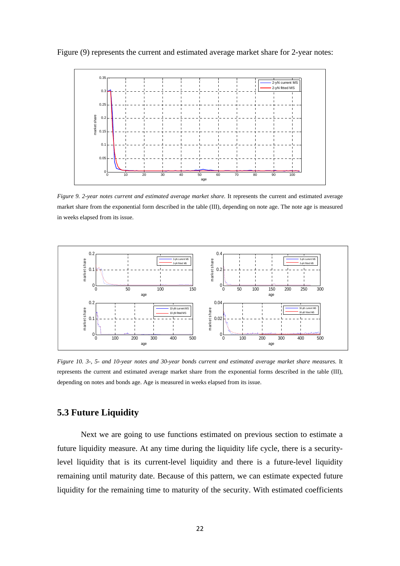



*Figure 9. 2-year notes current and estimated average market share.* It represents the current and estimated average market share from the exponential form described in the table (III), depending on note age. The note age is measured in weeks elapsed from its issue.



*Figure 10. 3-, 5- and 10-year notes and 30-year bonds current and estimated average market share measures.* It represents the current and estimated average market share from the exponential forms described in the table (III), depending on notes and bonds age. Age is measured in weeks elapsed from its issue.

## **5.3 Future Liquidity**

Next we are going to use functions estimated on previous section to estimate a future liquidity measure. At any time during the liquidity life cycle, there is a securitylevel liquidity that is its current-level liquidity and there is a future-level liquidity remaining until maturity date. Because of this pattern, we can estimate expected future liquidity for the remaining time to maturity of the security. With estimated coefficients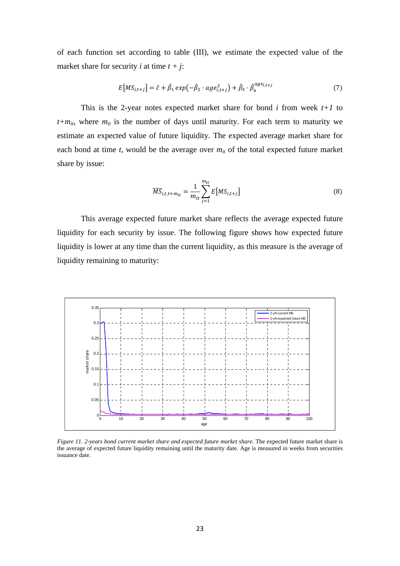of each function set according to table (III), we estimate the expected value of the market share for security *i* at time  $t + j$ :

$$
E\big[MS_{i,t+j}\big] = \hat{c} + \hat{\beta}_1 \exp(-\hat{\beta}_2 \cdot age_{i,t+j}^2) + \hat{\beta}_3 \cdot \hat{\beta}_4^{\alpha g e_{i,t+j}}
$$
(7)

This is the 2-year notes expected market share for bond  $i$  from week  $t+1$  to  $t+m_{it}$ , where  $m_{it}$  is the number of days until maturity. For each term to maturity we estimate an expected value of future liquidity. The expected average market share for each bond at time  $t$ , would be the average over  $m_{it}$  of the total expected future market share by issue:

$$
\overline{MS}_{i,t,t+m_{it}} = \frac{1}{m_{it}} \sum_{j=1}^{m_{it}} E\big[MS_{i,t+j}\big] \tag{8}
$$

This average expected future market share reflects the average expected future liquidity for each security by issue. The following figure shows how expected future liquidity is lower at any time than the current liquidity, as this measure is the average of liquidity remaining to maturity:



*Figure 11. 2-years bond current market share and expected future market share.* The expected future market share is the average of expected future liquidity remaining until the maturity date. Age is measured in weeks from securities issuance date.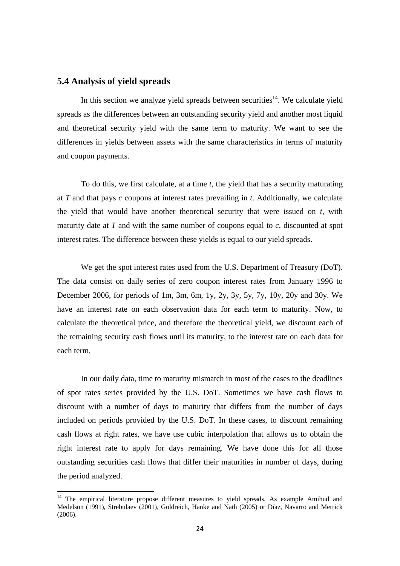## **5.4 Analysis of yield spreads**

In this section we analyze yield spreads between securities<sup>14</sup>. We calculate yield spreads as the differences between an outstanding security yield and another most liquid and theoretical security yield with the same term to maturity. We want to see the differences in yields between assets with the same characteristics in terms of maturity and coupon payments.

To do this, we first calculate, at a time *t*, the yield that has a security maturating at *T* and that pays *c* coupons at interest rates prevailing in *t*. Additionally, we calculate the yield that would have another theoretical security that were issued on *t*, with maturity date at *T* and with the same number of coupons equal to *c*, discounted at spot interest rates. The difference between these yields is equal to our yield spreads.

We get the spot interest rates used from the U.S. Department of Treasury (DoT). The data consist on daily series of zero coupon interest rates from January 1996 to December 2006, for periods of 1m, 3m, 6m, 1y, 2y, 3y, 5y, 7y, 10y, 20y and 30y. We have an interest rate on each observation data for each term to maturity. Now, to calculate the theoretical price, and therefore the theoretical yield, we discount each of the remaining security cash flows until its maturity, to the interest rate on each data for each term.

In our daily data, time to maturity mismatch in most of the cases to the deadlines of spot rates series provided by the U.S. DoT. Sometimes we have cash flows to discount with a number of days to maturity that differs from the number of days included on periods provided by the U.S. DoT. In these cases, to discount remaining cash flows at right rates, we have use cubic interpolation that allows us to obtain the right interest rate to apply for days remaining. We have done this for all those outstanding securities cash flows that differ their maturities in number of days, during the period analyzed.

<sup>&</sup>lt;sup>14</sup> The empirical literature propose different measures to yield spreads. As example Amihud and Medelson (1991), Strebulaev (2001), Goldreich, Hanke and Nath (2005) or Díaz, Navarro and Merrick (2006).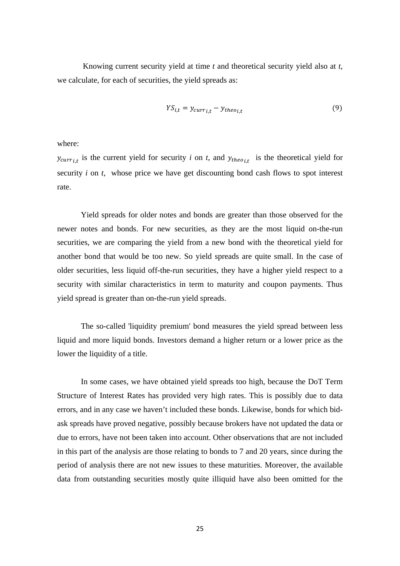Knowing current security yield at time *t* and theoretical security yield also at *t*, we calculate, for each of securities, the yield spreads as:

$$
YS_{i,t} = y_{curr_{i,t}} - y_{theo_{i,t}}
$$
\n
$$
(9)
$$

where:

 $y_{curr_{i,t}}$  is the current yield for security *i* on *t*, and  $y_{theo_{i,t}}$  is the theoretical yield for security *i* on *t*, whose price we have get discounting bond cash flows to spot interest rate.

Yield spreads for older notes and bonds are greater than those observed for the newer notes and bonds. For new securities, as they are the most liquid on-the-run securities, we are comparing the yield from a new bond with the theoretical yield for another bond that would be too new. So yield spreads are quite small. In the case of older securities, less liquid off-the-run securities, they have a higher yield respect to a security with similar characteristics in term to maturity and coupon payments. Thus yield spread is greater than on-the-run yield spreads.

The so-called 'liquidity premium' bond measures the yield spread between less liquid and more liquid bonds. Investors demand a higher return or a lower price as the lower the liquidity of a title.

In some cases, we have obtained yield spreads too high, because the DoT Term Structure of Interest Rates has provided very high rates. This is possibly due to data errors, and in any case we haven't included these bonds. Likewise, bonds for which bidask spreads have proved negative, possibly because brokers have not updated the data or due to errors, have not been taken into account. Other observations that are not included in this part of the analysis are those relating to bonds to 7 and 20 years, since during the period of analysis there are not new issues to these maturities. Moreover, the available data from outstanding securities mostly quite illiquid have also been omitted for the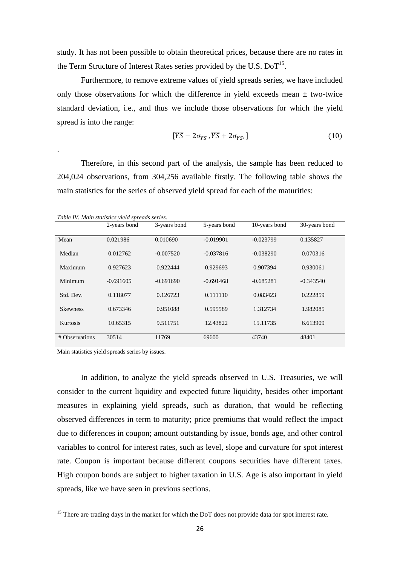study. It has not been possible to obtain theoretical prices, because there are no rates in the Term Structure of Interest Rates series provided by the U.S.  $DoT<sup>15</sup>$ .

Furthermore, to remove extreme values of yield spreads series, we have included only those observations for which the difference in yield exceeds mean  $\pm$  two-twice standard deviation, i.e., and thus we include those observations for which the yield spread is into the range:

$$
[\overline{YS} - 2\sigma_{YS}, \overline{YS} + 2\sigma_{YS}, ] \tag{10}
$$

Therefore, in this second part of the analysis, the sample has been reduced to 204,024 observations, from 304,256 available firstly. The following table shows the main statistics for the series of observed yield spread for each of the maturities:

.

|                 | 2-years bond | 3-years bond | 5-years bond | 10-years bond | 30-years bond |
|-----------------|--------------|--------------|--------------|---------------|---------------|
| Mean            | 0.021986     | 0.010690     | $-0.019901$  | $-0.023799$   | 0.135827      |
| Median          | 0.012762     | $-0.007520$  | $-0.037816$  | $-0.038290$   | 0.070316      |
| Maximum         | 0.927623     | 0.922444     | 0.929693     | 0.907394      | 0.930061      |
| Minimum         | $-0.691605$  | $-0.691690$  | $-0.691468$  | $-0.685281$   | $-0.343540$   |
| Std. Dev.       | 0.118077     | 0.126723     | 0.111110     | 0.083423      | 0.222859      |
| <b>Skewness</b> | 0.673346     | 0.951088     | 0.595589     | 1.312734      | 1.982085      |
| <b>Kurtosis</b> | 10.65315     | 9.511751     | 12.43822     | 15.11735      | 6.613909      |
| # Observations  | 30514        | 11769        | 69600        | 43740         | 48401         |

Main statistics yield spreads series by issues.

In addition, to analyze the yield spreads observed in U.S. Treasuries, we will consider to the current liquidity and expected future liquidity, besides other important measures in explaining yield spreads, such as duration, that would be reflecting observed differences in term to maturity; price premiums that would reflect the impact due to differences in coupon; amount outstanding by issue, bonds age, and other control variables to control for interest rates, such as level, slope and curvature for spot interest rate. Coupon is important because different coupons securities have different taxes. High coupon bonds are subject to higher taxation in U.S. Age is also important in yield spreads, like we have seen in previous sections.

 $15$  There are trading days in the market for which the DoT does not provide data for spot interest rate.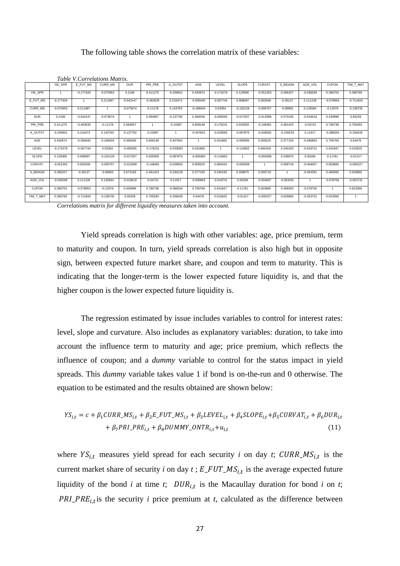#### The following table shows the correlation matrix of these variables:

|              |             | Table V.Correlations Matrix. |             |             |             |             |             |             |              |                |             |             |              |             |
|--------------|-------------|------------------------------|-------------|-------------|-------------|-------------|-------------|-------------|--------------|----------------|-------------|-------------|--------------|-------------|
|              | YIE_SPR     | E FUT MS                     | CURR_MS     | <b>DUR</b>  | PRI PRE     | A OUTST     | AGE         | LEVEL       | <b>SLOPE</b> | CURVAT.        | S BIDASK    | AGR_VOL     | <b>CUPON</b> | TIM_T_MAT   |
| YIE SPR      |             | $-0.177426$                  | $-0.075953$ | 0.2166      | 0.411275    | $-0.209931$ | 0.492874    | $-0.174278$ | 0.129306     | $-0.051353$    | 0.286257    | $-0.038269$ | 0.390703     | 0.366769    |
| E FUT MS     | $-0.177426$ | -1                           | 0.211987    | $-0.642147$ | $-0.463535$ | 0.216473    | $-0.595045$ | $-0.007744$ | 0.008097     | 0.002048       | $-0.36127$  | 0.111228    | $-0.578953$  | $-0.711843$ |
| CURR MS      | $-0.075953$ | 0.211987                     |             | $-0.073674$ | $-0.11178$  | 0.143763    | $-0.188404$ | 0.03354     | $-0.102129$  | $-0.000757$    | $-0.08902$  | 0.135584    | $-0.12079$   | $-0.138735$ |
| <b>DUR</b>   | 0.2166      | $-0.642147$                  | $-0.073674$ |             | 0.584957    | $-0.137792$ | 0.360036    | $-0.009265$ | $-0.017507$  | $-0.013399$    | 0.573165    | $-0.019618$ | 0.430998     | 0.93228     |
| PRI PRE      | 0.411275    | $-0.463535$                  | $-0.11178$  | 0.584957    |             | $-0.24387$  | 0.658148    | $-0.176231$ | 0.025559     | $-0.148481$    | 0.461423    | $-0.04722$  | 0.790738     | 0.705293    |
| A OUTST      | $-0.209931$ | 0.216473                     | 0.143763    | $-0.137792$ | $-0.24387$  | -1          | $-0.407601$ | $-0.033583$ | $-0.087875$  | $-0.028562$    | $-0.230229$ | 0.11917     | $-0.388204$  | $-0.258435$ |
| AGE          | 0.492874    | $-0.595045$                  | $-0.188404$ | 0.360036    | 0.658148    | $-0.407601$ |             | 0.031865    | $-0.009365$  | 0.005525       | 0.377155    | $-0.090863$ | 0.756769     | 0.64478     |
| LEVEL        | $-0.174278$ | $-0.007744$                  | 0.03354     | $-0.009265$ | $-0.176231$ | $-0.033583$ | 0.031865    |             | $-0.110662$  | 0.660433       | 0.240193    | $-0.018731$ | 0.041847     | 0.015625    |
| SLOPE        | 0.129306    | 0.008097                     | $-0.102129$ | $-0.017507$ | 0.025559    | $-0.087875$ | $-0.009365$ | $-0.110662$ | $\mathbf{1}$ | $-0.055008$    | 0.338875    | 0.00284     | 0.11781      | $-0.01217$  |
| CURVAT.      | $-0.051353$ | 0.002048                     | $-0.000757$ | $-0.013399$ | $-0.148481$ | $-0.028562$ | 0.005525    | 0.660433    | $-0.055008$  | $\overline{1}$ | 0.058718    | $-0.004007$ | 0.003685     | $-0.000227$ |
| S BIDASK     | 0.286257    | $-0.36127$                   | $-0.08902$  | 0.573165    | 0.461423    | $-0.230229$ | 0.377155    | 0.240193    | 0.338875     | 0.058718       |             | $-0.063291$ | 0.489392     | 0.626865    |
| AGR_VOL      | $-0.038269$ | 0.111228                     | 0.135584    | $-0.019618$ | $-0.04722$  | 0.11917     | $-0.090863$ | $-0.018731$ | 0.00284      | $-0.004007$    | $-0.063291$ | 1           | $-0.078756$  | $-0.053731$ |
| <b>CUPON</b> | 0.390703    | $-0.578953$                  | $-0.12079$  | 0.430998    | 0.790738    | $-0.388204$ | 0.756769    | 0.041847    | 0.11781      | 0.003685       | 0.489392    | $-0.078756$ | -1           | 0.623366    |
| TIM T_MAT    | 0.366769    | $-0.711843$                  | $-0.138735$ | 0.93228     | 0.705293    | $-0.258435$ | 0.64478     | 0.015625    | $-0.01217$   | $-0.000227$    | 0.626865    | $-0.053731$ | 0.623366     |             |

*Correlations matrix for different liquidity measures taken into account.* 

Yield spreads correlation is high with other variables: age, price premium, term to maturity and coupon. In turn, yield spreads correlation is also high but in opposite sign, between expected future market share, and coupon and term to maturity. This is indicating that the longer-term is the lower expected future liquidity is, and that the higher coupon is the lower expected future liquidity is.

The regression estimated by issue includes variables to control for interest rates: level, slope and curvature. Also includes as explanatory variables: duration, to take into account the influence term to maturity and age; price premium, which reflects the influence of coupon; and a *dummy* variable to control for the status impact in yield spreads. This *dummy* variable takes value 1 if bond is on-the-run and 0 otherwise. The equation to be estimated and the results obtained are shown below:

$$
YS_{i,t} = c + \beta_1 CURR\_MS_{i,t} + \beta_2 E\_FUT\_MS_{i,t} + \beta_3 LEVEL_{i,t} + \beta_4 SLOPE_{i,t} + \beta_5 CURVAT_{i,t} + \beta_6 DUR_{i,t} + \beta_7 PRI\_PRE_{i,t} + \beta_8 DUMMY\_ONTR_{i,t} + u_{i,t}
$$
\n(11)

where  $YS_{i,t}$  measures yield spread for each security *i* on day *t*;  $CURR_MS_{i,t}$  is the current market share of security *i* on day  $t$ ;  $E$ <sub>\_ $FUT$ </sup>\_ $MS$ <sub>i,t</sub> is the average expected future</sub> liquidity of the bond *i* at time *t*;  $DUR_{i,t}$  is the Macaullay duration for bond *i* on *t*;  $PRI\_PRE_{i,t}$  is the security *i* price premium at *t*, calculated as the difference between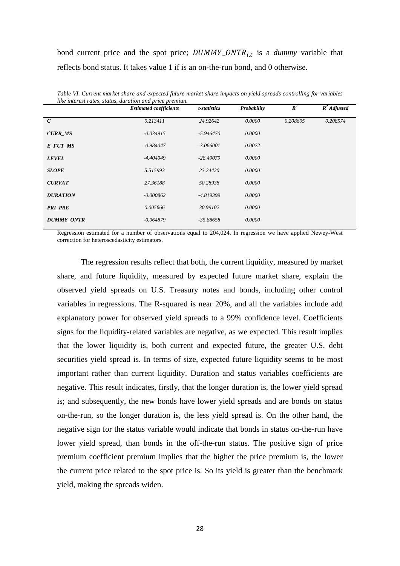bond current price and the spot price;  $DUMMY\_ONTR_{i,t}$  is a *dummy* variable that reflects bond status. It takes value 1 if is an on-the-run bond, and 0 otherwise.

|                   | like interest rates, status, duration and price premiun.<br><b>Estimated coefficients</b> | t-statistics | Probability | $\mathbb{R}^2$ | $R^2$ Adjusted |
|-------------------|-------------------------------------------------------------------------------------------|--------------|-------------|----------------|----------------|
| $\mathcal{C}$     | 0.213411                                                                                  | 24.92642     | 0.0000      | 0.208605       | 0.208574       |
| <b>CURR MS</b>    | $-0.034915$                                                                               | $-5.946470$  | 0.0000      |                |                |
| E FUT MS          | $-0.984047$                                                                               | $-3.066001$  | 0.0022      |                |                |
| <b>LEVEL</b>      | $-4.404049$                                                                               | $-28.49079$  | 0.0000      |                |                |
| <b>SLOPE</b>      | 5.515993                                                                                  | 23.24420     | 0.0000      |                |                |
| <b>CURVAT</b>     | 27.36188                                                                                  | 50.28938     | 0.0000      |                |                |
| <b>DURATION</b>   | $-0.000862$                                                                               | -4.819399    | 0.0000      |                |                |
| <b>PRI PRE</b>    | 0.005666                                                                                  | 30.99102     | 0.0000      |                |                |
| <b>DUMMY_ONTR</b> | $-0.064879$                                                                               | $-35.88658$  | 0.0000      |                |                |

*Table VI. Current market share and expected future market share impacts on yield spreads controlling for variables like interest rates, status, duration and price premiun.* 

Regression estimated for a number of observations equal to 204,024. In regression we have applied Newey-West correction for heteroscedasticity estimators.

The regression results reflect that both, the current liquidity, measured by market share, and future liquidity, measured by expected future market share, explain the observed yield spreads on U.S. Treasury notes and bonds, including other control variables in regressions. The R-squared is near 20%, and all the variables include add explanatory power for observed yield spreads to a 99% confidence level. Coefficients signs for the liquidity-related variables are negative, as we expected. This result implies that the lower liquidity is, both current and expected future, the greater U.S. debt securities yield spread is. In terms of size, expected future liquidity seems to be most important rather than current liquidity. Duration and status variables coefficients are negative. This result indicates, firstly, that the longer duration is, the lower yield spread is; and subsequently, the new bonds have lower yield spreads and are bonds on status on-the-run, so the longer duration is, the less yield spread is. On the other hand, the negative sign for the status variable would indicate that bonds in status on-the-run have lower yield spread, than bonds in the off-the-run status. The positive sign of price premium coefficient premium implies that the higher the price premium is, the lower the current price related to the spot price is. So its yield is greater than the benchmark yield, making the spreads widen.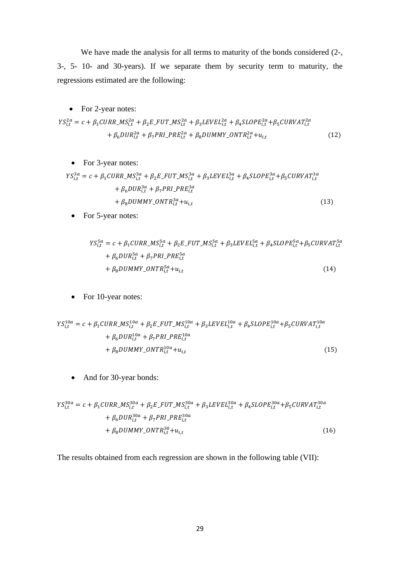We have made the analysis for all terms to maturity of the bonds considered (2-, 3-, 5- 10- and 30-years). If we separate them by security term to maturity, the regressions estimated are the following:

• For 2-year notes:  
\n
$$
YS_{i,t}^{2a} = c + \beta_1 CURR\_MS_{i,t}^{2a} + \beta_2 E\_FUT\_MS_{i,t}^{2a} + \beta_3 LEVEL_{i,t}^{2a} + \beta_4 SLOPE_{i,t}^{2a} + \beta_5 CURVAT_{i,t}^{2a} + \beta_6 DUR_{i,t}^{2a} + \beta_7 PRI\_PRE_{i,t}^{2a} + \beta_8 DUMMY\_ONTR_{i,t}^{2a} + u_{i,t}
$$
 (12)

• For 3-year notes:

$$
YS_{i,t}^{3a} = c + \beta_1 CURR\_MS_{i,t}^{3a} + \beta_2 E\_FUT\_MS_{i,t}^{3a} + \beta_3 LEVEL_{i,t}^{3a} + \beta_4 SLOPE_{i,t}^{3a} + \beta_5 CURVAT_{i,t}^{3a} + \beta_6 DUR_{i,t}^{3a} + \beta_7 PRI\_PRE_{i,t}^{3a} + \beta_8 DUMMY\_ONTR_{i,t}^{3a} + u_{i,t}
$$
\n(13)

• For 5-year notes:

$$
YS_{i,t}^{5a} = c + \beta_1 CURR\_MS_{i,t}^{5a} + \beta_2 E\_FUT\_MS_{i,t}^{5a} + \beta_3 LEVEL_{i,t}^{5a} + \beta_4 SLOPE_{i,t}^{5a} + \beta_5 CURVAT_{i,t}^{5a}
$$
  
+  $\beta_6 DUR_{i,t}^{5a} + \beta_7 PRI\_PRE_{i,t}^{5a}$   
+  $\beta_8 DUMMY\_ONTR_{i,t}^{5a} + u_{i,t}$  (14)

• For 10-year notes:

$$
YS_{i,t}^{10a} = c + \beta_1 CURR\_MS_{i,t}^{10a} + \beta_2 E\_FUT\_MS_{i,t}^{10a} + \beta_3 LEVEL_{i,t}^{10a} + \beta_4 SLOPE_{i,t}^{10a} + \beta_5 CURVAT_{i,t}^{10a} + \beta_6 DUR_{i,t}^{10a} + \beta_7 PRI\_PRE_{i,t}^{10a} + \beta_8 DUMMY\_ONTR_{i,t}^{10a} + u_{i,t}
$$
\n(15)

• And for 30-year bonds:

$$
YS_{i,t}^{30a} = c + \beta_1 CURR\_MS_{i,t}^{30a} + \beta_2 E\_FUT\_MS_{i,t}^{30a} + \beta_3 LEVEL_{i,t}^{30a} + \beta_4 SLOPE_{i,t}^{30a} + \beta_5 CURVAT_{i,t}^{30a} + \beta_6 DUR_{i,t}^{30a} + \beta_7 PRI\_PRE_{i,t}^{30a} + \beta_8 DUMMY\_ONTR_{i,t}^{30} + u_{i,t}
$$
\n(16)

The results obtained from each regression are shown in the following table (VII):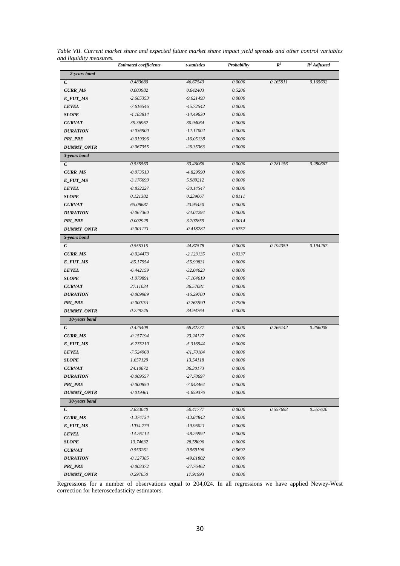|                  | <b>Estimated coefficients</b> | t-statistics | Probability | $\mathbb{R}^2$ | $R^2$ Adjusted |
|------------------|-------------------------------|--------------|-------------|----------------|----------------|
| 2-years bond     |                               |              |             |                |                |
| $\boldsymbol{C}$ | 0.483680                      | 46.67543     | 0.0000      | 0.165911       | 0.165692       |
| <b>CURR_MS</b>   | 0.003982                      | 0.642403     | 0.5206      |                |                |
| E_FUT_MS         | -2.685353                     | $-9.621493$  | 0.0000      |                |                |
| <b>LEVEL</b>     | -7.616546                     | $-45.72542$  | 0.0000      |                |                |
| <b>SLOPE</b>     | -4.183814                     | $-14.49630$  | 0.0000      |                |                |
| <b>CURVAT</b>    | 39.36962                      | 30.94064     | 0.0000      |                |                |
| <b>DURATION</b>  | $-0.036900$                   | $-12.17002$  | 0.0000      |                |                |
| <b>PRI_PRE</b>   | $-0.019396$                   | $-16.05138$  | 0.0000      |                |                |
| DUMMY_ONTR       | $-0.067355$                   | $-26.35363$  | 0.0000      |                |                |
| 3-years bond     |                               |              |             |                |                |
| $\mathcal{C}$    | 0.535563                      | 33.46066     | 0.0000      | 0.281156       | 0.280667       |
| <b>CURR_MS</b>   | $-0.073513$                   | $-4.829590$  | 0.0000      |                |                |
| E_FUT_MS         | $-3.176693$                   | 5.989212     | 0.0000      |                |                |
| <b>LEVEL</b>     | $-8.832227$                   | $-30.14547$  | 0.0000      |                |                |
| <b>SLOPE</b>     | 0.121382                      | 0.239067     | 0.8111      |                |                |
| <b>CURVAT</b>    | 65.08687                      | 23.95450     | 0.0000      |                |                |
| <b>DURATION</b>  | $-0.067360$                   | $-24.04294$  | 0.0000      |                |                |
| <b>PRI_PRE</b>   | 0.002929                      | 3.202859     | 0.0014      |                |                |
| DUMMY_ONTR       | $-0.001171$                   | $-0.418282$  | 0.6757      |                |                |
| 5-years bond     |                               |              |             |                |                |
| $\boldsymbol{C}$ | 0.555315                      | 44.87578     | 0.0000      | 0.194359       | 0.194267       |
| <b>CURR_MS</b>   | $-0.024473$                   | $-2.123135$  | 0.0337      |                |                |
| E_FUT_MS         | $-85.17954$                   | -55.99831    | 0.0000      |                |                |
| <b>LEVEL</b>     | $-6.442159$                   | $-32.04623$  | 0.0000      |                |                |
| <b>SLOPE</b>     | $-1.079891$                   | $-7.164619$  | 0.0000      |                |                |
| <b>CURVAT</b>    | 27.11034                      | 36.57081     | 0.0000      |                |                |
| <b>DURATION</b>  | $-0.009989$                   | $-16.29780$  | 0.0000      |                |                |
| PRI_PRE          | -0.000191                     | $-0.265590$  | 0.7906      |                |                |
| DUMMY_ONTR       | 0.229246                      | 34.94764     | 0.0000      |                |                |
| 10-years bond    |                               |              |             |                |                |
| $\epsilon$       | 0.425409                      | 68.82237     | 0.0000      | 0.266142       | 0.266008       |
| <b>CURR_MS</b>   | $-0.157194$                   | 23.24127     | 0.0000      |                |                |
| E_FUT_MS         | $-6.275210$                   | -5.316544    | 0.0000      |                |                |
| <b>LEVEL</b>     | -7.524968                     | -81.70184    | 0.0000      |                |                |
| <b>SLOPE</b>     | 1.657129                      | 13.54118     | 0.0000      |                |                |
| <b>CURVAT</b>    | 24.10872                      | 36.30173     | 0.0000      |                |                |
| <b>DURATION</b>  | $-0.009557$                   | -27.78697    | 0.0000      |                |                |
| <b>PRI_PRE</b>   | $-0.000850$                   | $-7.043464$  | 0.0000      |                |                |
| DUMMY_ONTR       | $-0.019461$                   | $-4.659376$  | 0.0000      |                |                |
| 30-years bond    |                               |              |             |                |                |
| $\boldsymbol{C}$ | 2.833040                      | 50.41777     | 0.0000      | 0.557693       | 0.557620       |
| <b>CURR_MS</b>   | $-1.374734$                   | $-13.84843$  | 0.0000      |                |                |
| E_FUT_MS         | $-1034.779$                   | $-19.96021$  | 0.0000      |                |                |
| <b>LEVEL</b>     | $-14.26114$                   | -48.26992    | 0.0000      |                |                |
| <b>SLOPE</b>     | 13.74632                      | 28.58096     | 0.0000      |                |                |
| <b>CURVAT</b>    | 0.553261                      | 0.569196     | 0.5692      |                |                |
| <b>DURATION</b>  | $-0.127385$                   | -49.81802    | 0.0000      |                |                |
| <b>PRI_PRE</b>   | $-0.003372$                   | $-27.76462$  | 0.0000      |                |                |
| DUMMY_ONTR       | 0.297650                      | 17.91993     | 0.0000      |                |                |

*Table VII. Current market share and expected future market share impact yield spreads and other control variables and liquidity measures.* 

Regressions for a number of observations equal to 204,024. In all regressions we have applied Newey-West correction for heteroscedasticity estimators.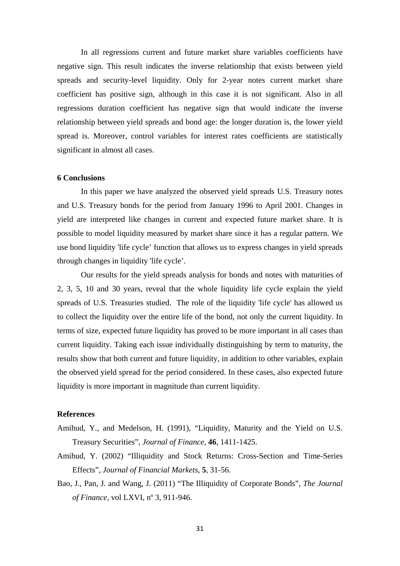In all regressions current and future market share variables coefficients have negative sign. This result indicates the inverse relationship that exists between yield spreads and security-level liquidity. Only for 2-year notes current market share coefficient has positive sign, although in this case it is not significant. Also in all regressions duration coefficient has negative sign that would indicate the inverse relationship between yield spreads and bond age: the longer duration is, the lower yield spread is. Moreover, control variables for interest rates coefficients are statistically significant in almost all cases.

#### **6 Conclusions**

In this paper we have analyzed the observed yield spreads U.S. Treasury notes and U.S. Treasury bonds for the period from January 1996 to April 2001. Changes in yield are interpreted like changes in current and expected future market share. It is possible to model liquidity measured by market share since it has a regular pattern. We use bond liquidity 'life cycle' function that allows us to express changes in yield spreads through changes in liquidity 'life cycle'.

Our results for the yield spreads analysis for bonds and notes with maturities of 2, 3, 5, 10 and 30 years, reveal that the whole liquidity life cycle explain the yield spreads of U.S. Treasuries studied. The role of the liquidity 'life cycle' has allowed us to collect the liquidity over the entire life of the bond, not only the current liquidity. In terms of size, expected future liquidity has proved to be more important in all cases than current liquidity. Taking each issue individually distinguishing by term to maturity, the results show that both current and future liquidity, in addition to other variables, explain the observed yield spread for the period considered. In these cases, also expected future liquidity is more important in magnitude than current liquidity.

#### **References**

- Amihud, Y., and Medelson, H. (1991), "Liquidity, Maturity and the Yield on U.S. Treasury Securities", *Journal of Finance*, **46**, 1411-1425.
- Amihud, Y. (2002) "Illiquidity and Stock Returns: Cross-Section and Time-Series Effects", *Journal of Financial Markets*, **5**, 31-56.
- Bao, J., Pan, J. and Wang, J. (2011) "The Illiquidity of Corporate Bonds", *The Journal of Finance,* vol LXVI, nº 3, 911-946.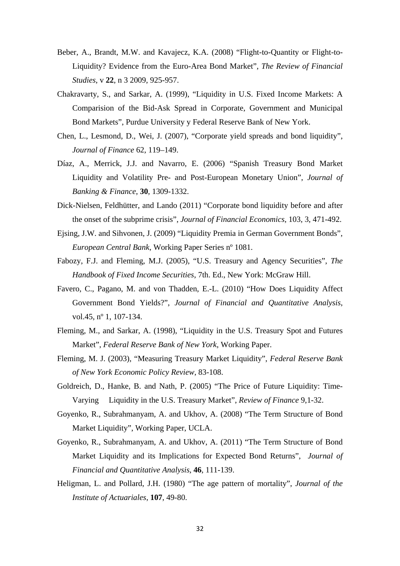- Beber, A., Brandt, M.W. and Kavajecz, K.A. (2008) "Flight-to-Quantity or Flight-to-Liquidity? Evidence from the Euro-Area Bond Market", *The Review of Financial Studies*, v **22**, n 3 2009, 925-957.
- Chakravarty, S., and Sarkar, A. (1999), "Liquidity in U.S. Fixed Income Markets: A Comparision of the Bid-Ask Spread in Corporate, Government and Municipal Bond Markets", Purdue University y Federal Reserve Bank of New York.
- Chen, L., Lesmond, D., Wei, J. (2007), "Corporate yield spreads and bond liquidity", *Journal of Finance* 62, 119–149.
- Díaz, A., Merrick, J.J. and Navarro, E. (2006) "Spanish Treasury Bond Market Liquidity and Volatility Pre- and Post-European Monetary Union", *Journal of Banking & Finance*, **30**, 1309-1332.
- Dick-Nielsen, Feldhütter, and Lando (2011) "Corporate bond liquidity before and after the onset of the subprime crisis", *Journal of Financial Economics*, 103, 3, 471-492.
- Ejsing, J.W. and Sihvonen, J. (2009) "Liquidity Premia in German Government Bonds", *European Central Bank*, Working Paper Series nº 1081.
- Fabozy, F.J. and Fleming, M.J. (2005), "U.S. Treasury and Agency Securities", *The Handbook of Fixed Income Securities*, 7th. Ed., New York: McGraw Hill.
- Favero, C., Pagano, M. and von Thadden, E.-L. (2010) "How Does Liquidity Affect Government Bond Yields?", *Journal of Financial and Quantitative Analysis*, vol.45, nº 1, 107-134.
- Fleming, M., and Sarkar, A. (1998), "Liquidity in the U.S. Treasury Spot and Futures Market", *Federal Reserve Bank of New York*, Working Paper.
- Fleming, M. J. (2003), "Measuring Treasury Market Liquidity", *Federal Reserve Bank of New York Economic Policy Review*, 83-108.
- Goldreich, D., Hanke, B. and Nath, P. (2005) "The Price of Future Liquidity: Time-Varying Liquidity in the U.S. Treasury Market", *Review of Finance* 9,1-32.
- Goyenko, R., Subrahmanyam, A. and Ukhov, A. (2008) "The Term Structure of Bond Market Liquidity", Working Paper, UCLA.
- Goyenko, R., Subrahmanyam, A. and Ukhov, A. (2011) "The Term Structure of Bond Market Liquidity and its Implications for Expected Bond Returns", *Journal of Financial and Quantitative Analysis*, **46**, 111-139.
- Heligman, L. and Pollard, J.H. (1980) "The age pattern of mortality", *Journal of the Institute of Actuariales*, **107**, 49-80.